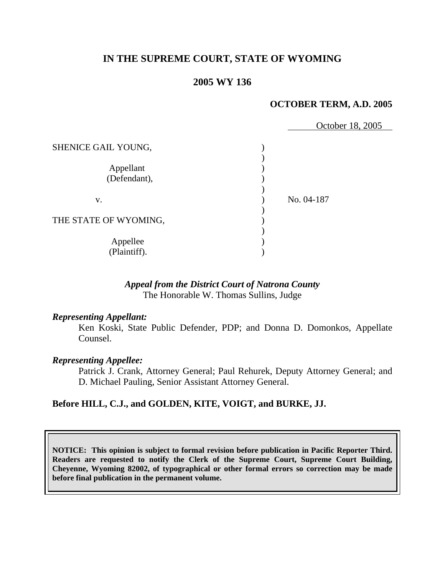# **IN THE SUPREME COURT, STATE OF WYOMING**

### **2005 WY 136**

#### **OCTOBER TERM, A.D. 2005**

|                           | October 18, 2005 |
|---------------------------|------------------|
| SHENICE GAIL YOUNG,       |                  |
| Appellant<br>(Defendant), |                  |
| V.                        | No. 04-187       |
| THE STATE OF WYOMING,     |                  |
| Appellee<br>(Plaintiff).  |                  |

### *Appeal from the District Court of Natrona County* The Honorable W. Thomas Sullins, Judge

#### *Representing Appellant:*

 Ken Koski, State Public Defender, PDP; and Donna D. Domonkos, Appellate Counsel.

#### *Representing Appellee:*

 Patrick J. Crank, Attorney General; Paul Rehurek, Deputy Attorney General; and D. Michael Pauling, Senior Assistant Attorney General.

### **Before HILL, C.J., and GOLDEN, KITE, VOIGT, and BURKE, JJ.**

**NOTICE: This opinion is subject to formal revision before publication in Pacific Reporter Third. Readers are requested to notify the Clerk of the Supreme Court, Supreme Court Building, Cheyenne, Wyoming 82002, of typographical or other formal errors so correction may be made before final publication in the permanent volume.**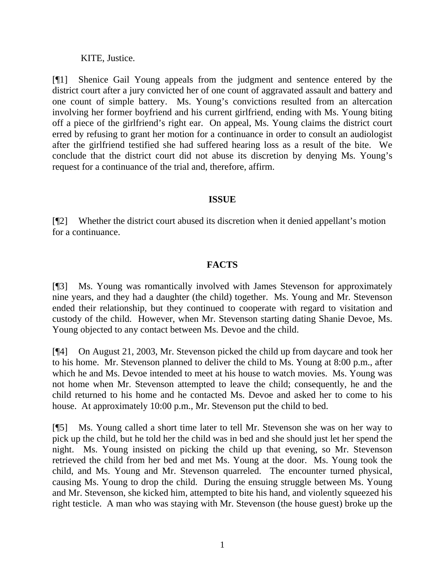KITE, Justice.

[¶1] Shenice Gail Young appeals from the judgment and sentence entered by the district court after a jury convicted her of one count of aggravated assault and battery and one count of simple battery. Ms. Young's convictions resulted from an altercation involving her former boyfriend and his current girlfriend, ending with Ms. Young biting off a piece of the girlfriend's right ear. On appeal, Ms. Young claims the district court erred by refusing to grant her motion for a continuance in order to consult an audiologist after the girlfriend testified she had suffered hearing loss as a result of the bite. We conclude that the district court did not abuse its discretion by denying Ms. Young's request for a continuance of the trial and, therefore, affirm.

## **ISSUE**

[¶2] Whether the district court abused its discretion when it denied appellant's motion for a continuance.

## **FACTS**

[¶3] Ms. Young was romantically involved with James Stevenson for approximately nine years, and they had a daughter (the child) together. Ms. Young and Mr. Stevenson ended their relationship, but they continued to cooperate with regard to visitation and custody of the child. However, when Mr. Stevenson starting dating Shanie Devoe, Ms. Young objected to any contact between Ms. Devoe and the child.

[¶4] On August 21, 2003, Mr. Stevenson picked the child up from daycare and took her to his home. Mr. Stevenson planned to deliver the child to Ms. Young at 8:00 p.m., after which he and Ms. Devoe intended to meet at his house to watch movies. Ms. Young was not home when Mr. Stevenson attempted to leave the child; consequently, he and the child returned to his home and he contacted Ms. Devoe and asked her to come to his house. At approximately 10:00 p.m., Mr. Stevenson put the child to bed.

[¶5] Ms. Young called a short time later to tell Mr. Stevenson she was on her way to pick up the child, but he told her the child was in bed and she should just let her spend the night. Ms. Young insisted on picking the child up that evening, so Mr. Stevenson retrieved the child from her bed and met Ms. Young at the door. Ms. Young took the child, and Ms. Young and Mr. Stevenson quarreled. The encounter turned physical, causing Ms. Young to drop the child. During the ensuing struggle between Ms. Young and Mr. Stevenson, she kicked him, attempted to bite his hand, and violently squeezed his right testicle. A man who was staying with Mr. Stevenson (the house guest) broke up the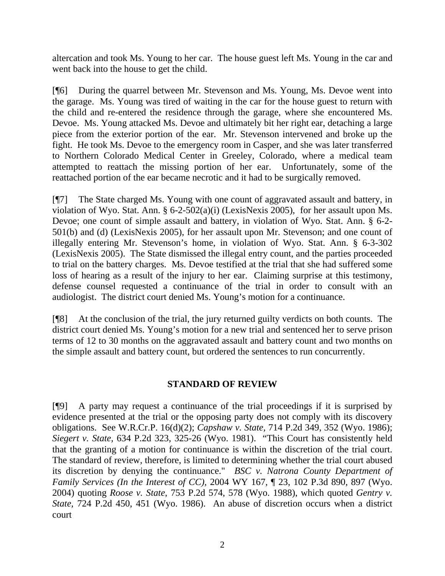altercation and took Ms. Young to her car. The house guest left Ms. Young in the car and went back into the house to get the child.

[¶6] During the quarrel between Mr. Stevenson and Ms. Young, Ms. Devoe went into the garage. Ms. Young was tired of waiting in the car for the house guest to return with the child and re-entered the residence through the garage, where she encountered Ms. Devoe. Ms. Young attacked Ms. Devoe and ultimately bit her right ear, detaching a large piece from the exterior portion of the ear. Mr. Stevenson intervened and broke up the fight. He took Ms. Devoe to the emergency room in Casper, and she was later transferred to Northern Colorado Medical Center in Greeley, Colorado, where a medical team attempted to reattach the missing portion of her ear. Unfortunately, some of the reattached portion of the ear became necrotic and it had to be surgically removed.

[¶7] The State charged Ms. Young with one count of aggravated assault and battery, in violation of Wyo. Stat. Ann. § 6-2-502(a)(i) (LexisNexis 2005), for her assault upon Ms. Devoe; one count of simple assault and battery, in violation of Wyo. Stat. Ann. § 6-2- 501(b) and (d) (LexisNexis 2005), for her assault upon Mr. Stevenson; and one count of illegally entering Mr. Stevenson's home, in violation of Wyo. Stat. Ann. § 6-3-302 (LexisNexis 2005). The State dismissed the illegal entry count, and the parties proceeded to trial on the battery charges. Ms. Devoe testified at the trial that she had suffered some loss of hearing as a result of the injury to her ear. Claiming surprise at this testimony, defense counsel requested a continuance of the trial in order to consult with an audiologist. The district court denied Ms. Young's motion for a continuance.

[¶8] At the conclusion of the trial, the jury returned guilty verdicts on both counts. The district court denied Ms. Young's motion for a new trial and sentenced her to serve prison terms of 12 to 30 months on the aggravated assault and battery count and two months on the simple assault and battery count, but ordered the sentences to run concurrently.

## **STANDARD OF REVIEW**

[¶9] A party may request a continuance of the trial proceedings if it is surprised by evidence presented at the trial or the opposing party does not comply with its discovery obligations. See W.R.Cr.P. 16(d)(2); *Capshaw v. State,* 714 P.2d 349, 352 (Wyo. 1986); *Siegert v. State,* 634 P.2d 323, 325-26 (Wyo. 1981). "This Court has consistently held that the granting of a motion for continuance is within the discretion of the trial court. The standard of review, therefore, is limited to determining whether the trial court abused its discretion by denying the continuance." *BSC v. Natrona County Department of Family Services (In the Interest of CC),* 2004 WY 167, ¶ 23, 102 P.3d 890, 897 (Wyo. 2004) quoting *Roose v. State*, 753 P.2d 574, 578 (Wyo. 1988), which quoted *Gentry v. State*, 724 P.2d 450, 451 (Wyo. 1986). An abuse of discretion occurs when a district court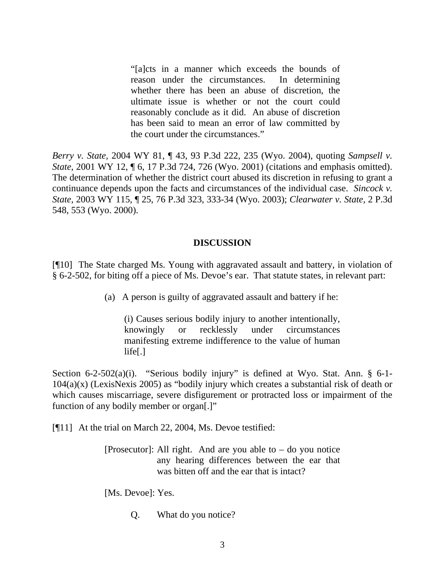"[a]cts in a manner which exceeds the bounds of reason under the circumstances. In determining whether there has been an abuse of discretion, the ultimate issue is whether or not the court could reasonably conclude as it did. An abuse of discretion has been said to mean an error of law committed by the court under the circumstances."

*Berry v. State,* 2004 WY 81, ¶ 43, 93 P.3d 222, 235 (Wyo. 2004), quoting *Sampsell v. State*, 2001 WY 12, ¶ 6, 17 P.3d 724, 726 (Wyo. 2001) (citations and emphasis omitted). The determination of whether the district court abused its discretion in refusing to grant a continuance depends upon the facts and circumstances of the individual case. *Sincock v. State,* 2003 WY 115, ¶ 25, 76 P.3d 323, 333-34 (Wyo. 2003); *Clearwater v. State,* 2 P.3d 548, 553 (Wyo. 2000).

### **DISCUSSION**

[¶10] The State charged Ms. Young with aggravated assault and battery, in violation of § 6-2-502, for biting off a piece of Ms. Devoe's ear. That statute states, in relevant part:

(a) A person is guilty of aggravated assault and battery if he:

(i) Causes serious bodily injury to another intentionally, knowingly or recklessly under circumstances manifesting extreme indifference to the value of human life[.]

Section 6-2-502(a)(i). "Serious bodily injury" is defined at Wyo. Stat. Ann. § 6-1-104(a)(x) (LexisNexis 2005) as "bodily injury which creates a substantial risk of death or which causes miscarriage, severe disfigurement or protracted loss or impairment of the function of any bodily member or organ[.]"

[¶11] At the trial on March 22, 2004, Ms. Devoe testified:

[Prosecutor]: All right. And are you able to  $-$  do you notice any hearing differences between the ear that was bitten off and the ear that is intact?

[Ms. Devoe]: Yes.

Q. What do you notice?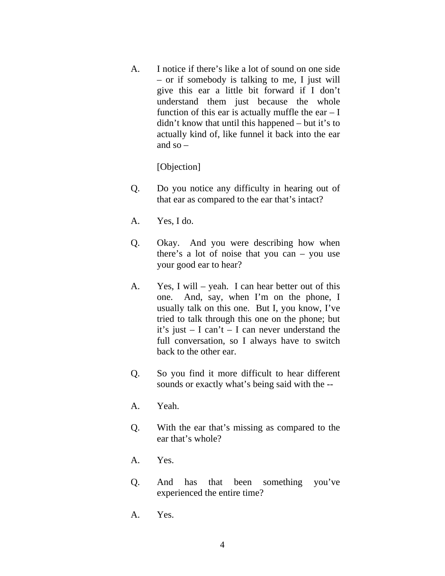A. I notice if there's like a lot of sound on one side – or if somebody is talking to me, I just will give this ear a little bit forward if I don't understand them just because the whole function of this ear is actually muffle the ear  $-1$ didn't know that until this happened – but it's to actually kind of, like funnel it back into the ear and  $so -$ 

[Objection]

- Q. Do you notice any difficulty in hearing out of that ear as compared to the ear that's intact?
- A. Yes, I do.
- Q. Okay. And you were describing how when there's a lot of noise that you can – you use your good ear to hear?
- A. Yes, I will yeah. I can hear better out of this one. And, say, when I'm on the phone, I usually talk on this one. But I, you know, I've tried to talk through this one on the phone; but it's just – I can't – I can never understand the full conversation, so I always have to switch back to the other ear.
- Q. So you find it more difficult to hear different sounds or exactly what's being said with the --
- A. Yeah.
- Q. With the ear that's missing as compared to the ear that's whole?
- A. Yes.
- Q. And has that been something you've experienced the entire time?
- A. Yes.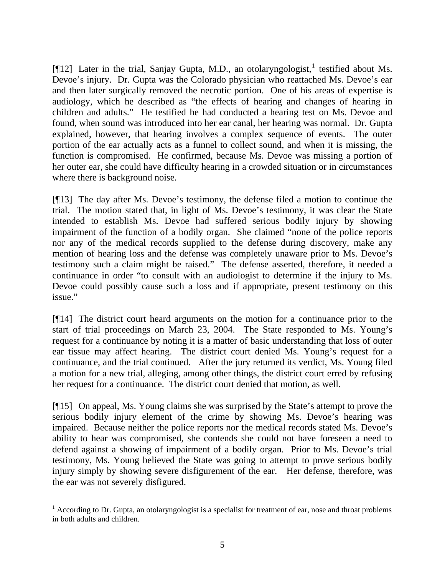[ $[12]$  $[12]$  $[12]$  Later in the trial, Sanjay Gupta, M.D., an otolaryngologist,<sup>1</sup> testified about Ms. Devoe's injury. Dr. Gupta was the Colorado physician who reattached Ms. Devoe's ear and then later surgically removed the necrotic portion. One of his areas of expertise is audiology, which he described as "the effects of hearing and changes of hearing in children and adults." He testified he had conducted a hearing test on Ms. Devoe and found, when sound was introduced into her ear canal, her hearing was normal. Dr. Gupta explained, however, that hearing involves a complex sequence of events. The outer portion of the ear actually acts as a funnel to collect sound, and when it is missing, the function is compromised. He confirmed, because Ms. Devoe was missing a portion of her outer ear, she could have difficulty hearing in a crowded situation or in circumstances where there is background noise.

[¶13] The day after Ms. Devoe's testimony, the defense filed a motion to continue the trial. The motion stated that, in light of Ms. Devoe's testimony, it was clear the State intended to establish Ms. Devoe had suffered serious bodily injury by showing impairment of the function of a bodily organ. She claimed "none of the police reports nor any of the medical records supplied to the defense during discovery, make any mention of hearing loss and the defense was completely unaware prior to Ms. Devoe's testimony such a claim might be raised." The defense asserted, therefore, it needed a continuance in order "to consult with an audiologist to determine if the injury to Ms. Devoe could possibly cause such a loss and if appropriate, present testimony on this issue."

[¶14] The district court heard arguments on the motion for a continuance prior to the start of trial proceedings on March 23, 2004. The State responded to Ms. Young's request for a continuance by noting it is a matter of basic understanding that loss of outer ear tissue may affect hearing. The district court denied Ms. Young's request for a continuance, and the trial continued. After the jury returned its verdict, Ms. Young filed a motion for a new trial, alleging, among other things, the district court erred by refusing her request for a continuance. The district court denied that motion, as well.

[¶15] On appeal, Ms. Young claims she was surprised by the State's attempt to prove the serious bodily injury element of the crime by showing Ms. Devoe's hearing was impaired. Because neither the police reports nor the medical records stated Ms. Devoe's ability to hear was compromised, she contends she could not have foreseen a need to defend against a showing of impairment of a bodily organ. Prior to Ms. Devoe's trial testimony, Ms. Young believed the State was going to attempt to prove serious bodily injury simply by showing severe disfigurement of the ear. Her defense, therefore, was the ear was not severely disfigured.

<span id="page-6-0"></span> $1$  According to Dr. Gupta, an otolaryngologist is a specialist for treatment of ear, nose and throat problems in both adults and children.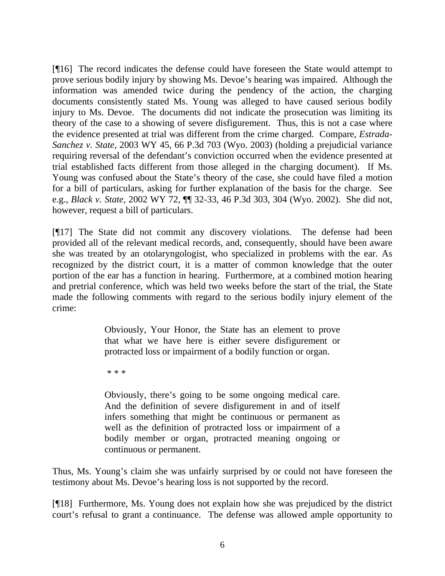[¶16] The record indicates the defense could have foreseen the State would attempt to prove serious bodily injury by showing Ms. Devoe's hearing was impaired. Although the information was amended twice during the pendency of the action, the charging documents consistently stated Ms. Young was alleged to have caused serious bodily injury to Ms. Devoe. The documents did not indicate the prosecution was limiting its theory of the case to a showing of severe disfigurement. Thus, this is not a case where the evidence presented at trial was different from the crime charged. Compare, *Estrada-Sanchez v. State,* 2003 WY 45, 66 P.3d 703 (Wyo. 2003) (holding a prejudicial variance requiring reversal of the defendant's conviction occurred when the evidence presented at trial established facts different from those alleged in the charging document). If Ms. Young was confused about the State's theory of the case, she could have filed a motion for a bill of particulars, asking for further explanation of the basis for the charge. See e.g., *Black v. State,* 2002 WY 72, ¶¶ 32-33, 46 P.3d 303, 304 (Wyo. 2002). She did not, however, request a bill of particulars.

[¶17] The State did not commit any discovery violations. The defense had been provided all of the relevant medical records, and, consequently, should have been aware she was treated by an otolaryngologist, who specialized in problems with the ear. As recognized by the district court, it is a matter of common knowledge that the outer portion of the ear has a function in hearing. Furthermore, at a combined motion hearing and pretrial conference, which was held two weeks before the start of the trial, the State made the following comments with regard to the serious bodily injury element of the crime:

> Obviously, Your Honor, the State has an element to prove that what we have here is either severe disfigurement or protracted loss or impairment of a bodily function or organ.

\* \* \*

Obviously, there's going to be some ongoing medical care. And the definition of severe disfigurement in and of itself infers something that might be continuous or permanent as well as the definition of protracted loss or impairment of a bodily member or organ, protracted meaning ongoing or continuous or permanent.

Thus, Ms. Young's claim she was unfairly surprised by or could not have foreseen the testimony about Ms. Devoe's hearing loss is not supported by the record.

[¶18] Furthermore, Ms. Young does not explain how she was prejudiced by the district court's refusal to grant a continuance. The defense was allowed ample opportunity to